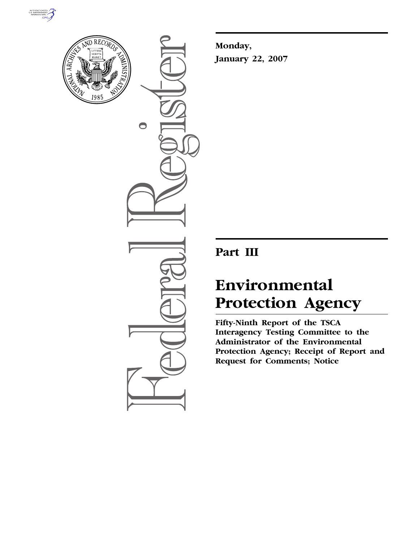



 $\bigcirc$ 

**Monday, January 22, 2007** 

# **Part III**

# **Environmental Protection Agency**

**Fifty-Ninth Report of the TSCA Interagency Testing Committee to the Administrator of the Environmental Protection Agency; Receipt of Report and Request for Comments; Notice**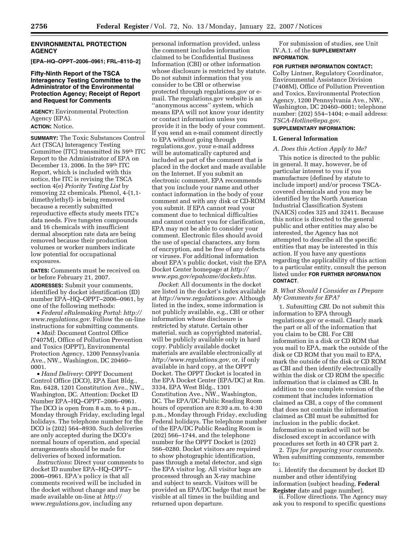# **ENVIRONMENTAL PROTECTION AGENCY**

**[EPA–HQ–OPPT–2006–0961; FRL–8110–2]** 

# **Fifty-Ninth Report of the TSCA Interagency Testing Committee to the Administrator of the Environmental Protection Agency; Receipt of Report and Request for Comments**

**AGENCY:** Environmental Protection Agency (EPA). **ACTION:** Notice.

**SUMMARY:** The Toxic Substances Control Act (TSCA) Interagency Testing Committee (ITC) transmitted its 59th ITC Report to the Administrator of EPA on December 13, 2006. In the 59th ITC Report, which is included with this notice, the ITC is revising the TSCA section 4(e) *Priority Testing List* by removing 22 chemicals. Phenol, 4-(1,1 dimethylethyl)- is being removed because a recently submitted reproductive effects study meets ITC's data needs. Five tungsten compounds and 16 chemicals with insufficient dermal absorption rate data are being removed because their production volumes or worker numbers indicate low potential for occupational exposures.

**DATES:** Comments must be received on or before February 21, 2007.

**ADDRESSES:** Submit your comments, identified by docket identification (ID) number EPA–HQ–OPPT–2006–0961, by one of the following methods:

• *Federal eRulemaking Portal*: *http:// www.regulations.gov*. Follow the on-line instructions for submitting comments.

• *Mail*: Document Control Office (7407M), Office of Pollution Prevention and Toxics (OPPT), Environmental Protection Agency, 1200 Pennsylvania Ave., NW., Washington, DC 20460– 0001.

• *Hand Delivery*: OPPT Document Control Office (DCO), EPA East Bldg., Rm. 6428, 1201 Constitution Ave., NW., Washington, DC. Attention: Docket ID Number EPA–HQ–OPPT–2006–0961. The DCO is open from 8 a.m. to 4 p.m., Monday through Friday, excluding legal holidays. The telephone number for the DCO is (202) 564–8930. Such deliveries are only accepted during the DCO's normal hours of operation, and special arrangements should be made for deliveries of boxed information.

*Instructions*: Direct your comments to docket ID number EPA–HQ–OPPT– 2006–0961. EPA's policy is that all comments received will be included in the docket without change and may be made available on-line at *http:// www.regulations.gov*, including any

personal information provided, unless the comment includes information claimed to be Confidential Business Information (CBI) or other information whose disclosure is restricted by statute. Do not submit information that you consider to be CBI or otherwise protected through regulations.gov or email. The regulations.gov website is an ''anonymous access'' system, which means EPA will not know your identity or contact information unless you provide it in the body of your comment. If you send an e-mail comment directly to EPA without going through regulations.gov, your e-mail address will be automatically captured and included as part of the comment that is placed in the docket and made available on the Internet. If you submit an electronic comment, EPA recommends that you include your name and other contact information in the body of your comment and with any disk or CD-ROM you submit. If EPA cannot read your comment due to technical difficulties and cannot contact you for clarification, EPA may not be able to consider your comment. Electronic files should avoid the use of special characters, any form of encryption, and be free of any defects or viruses. For additional information about EPA's public docket, visit the EPA Docket Center homepage at *http:// www.epa.gov/epahome/dockets.htm*.

*Docket*: All documents in the docket are listed in the docket's index available at *http://www.regulations.gov*. Although listed in the index, some information is not publicly available, e.g., CBI or other information whose disclosure is restricted by statute. Certain other material, such as copyrighted material, will be publicly available only in hard copy. Publicly available docket materials are available electronically at *http://www.regulations.gov*, or, if only available in hard copy, at the OPPT Docket. The OPPT Docket is located in the EPA Docket Center (EPA/DC) at Rm. 3334, EPA West Bldg., 1301 Constitution Ave., NW., Washington, DC. The EPA/DC Public Reading Room hours of operation are 8:30 a.m. to 4:30 p.m., Monday through Friday, excluding Federal holidays. The telephone number of the EPA/DC Public Reading Room is (202) 566–1744, and the telephone number for the OPPT Docket is (202) 566–0280. Docket visitors are required to show photographic identification, pass through a metal detector, and sign the EPA visitor log. All visitor bags are processed through an X-ray machine and subject to search. Visitors will be provided an EPA/DC badge that must be visible at all times in the building and returned upon departure.

For submission of studies, see Unit IV.A.1. of the **SUPPLEMENTARY INFORMATION**.

**FOR FURTHER INFORMATION CONTACT:**  Colby Lintner, Regulatory Coordinator, Environmental Assistance Division (7408M), Office of Pollution Prevention and Toxics, Environmental Protection Agency, 1200 Pennsylvania Ave., NW., Washington, DC 20460–0001; telephone number: (202) 554–1404; e-mail address: *TSCA-Hotline@epa.gov*.

# **SUPPLEMENTARY INFORMATION:**

# **I. General Information**

# *A. Does this Action Apply to Me?*

This notice is directed to the public in general. It may, however, be of particular interest to you if you manufacture (defined by statute to include import) and/or process TSCAcovered chemicals and you may be identified by the North American Industrial Classification System (NAICS) codes 325 and 32411. Because this notice is directed to the general public and other entities may also be interested, the Agency has not attempted to describe all the specific entities that may be interested in this action. If you have any questions regarding the applicability of this action to a particular entity, consult the person listed under **FOR FURTHER INFORMATION CONTACT**.

# *B. What Should I Consider as I Prepare My Comments for EPA?*

1. *Submitting CBI*. Do not submit this information to EPA through regulations.gov or e-mail. Clearly mark the part or all of the information that you claim to be CBI. For CBI information in a disk or CD ROM that you mail to EPA, mark the outside of the disk or CD ROM that you mail to EPA, mark the outside of the disk or CD ROM as CBI and then identify electronically within the disk or CD ROM the specific information that is claimed as CBI. In addition to one complete version of the comment that includes information claimed as CBI, a copy of the comment that does not contain the information claimed as CBI must be submitted for inclusion in the public docket. Information so marked will not be disclosed except in accordance with procedures set forth in 40 CFR part 2.

2. *Tips for preparing your comments*. When submitting comments, remember to:

i. Identify the document by docket ID number and other identifying information (subject heading, **Federal Register** date and page number).

ii. Follow directions. The Agency may ask you to respond to specific questions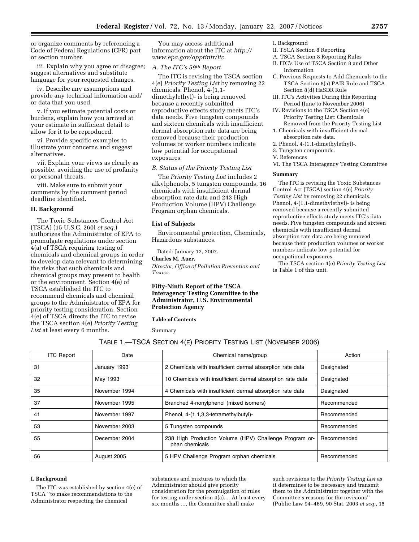or organize comments by referencing a Code of Federal Regulations (CFR) part or section number.

iii. Explain why you agree or disagree; suggest alternatives and substitute language for your requested changes.

iv. Describe any assumptions and provide any technical information and/ or data that you used.

v. If you estimate potential costs or burdens, explain how you arrived at your estimate in sufficient detail to allow for it to be reproduced.

vi. Provide specific examples to illustrate your concerns and suggest alternatives.

vii. Explain your views as clearly as possible, avoiding the use of profanity or personal threats.

viii. Make sure to submit your comments by the comment period deadline identified.

#### **II. Background**

The Toxic Substances Control Act (TSCA) (15 U.S.C. 260l *et seq*.) authorizes the Administrator of EPA to promulgate regulations under section 4(a) of TSCA requiring testing of chemicals and chemical groups in order to develop data relevant to determining the risks that such chemicals and chemical groups may present to health or the environment. Section 4(e) of TSCA established the ITC to recommend chemicals and chemical groups to the Administrator of EPA for priority testing consideration. Section 4(e) of TSCA directs the ITC to revise the TSCA section 4(e) *Priority Testing*  List at least every 6 months.

You may access additional information about the ITC at *http:// www.epa.gov/opptintr/itc*.

# *A. The ITC's 59th Report*

The ITC is revising the TSCA section 4(e) *Priority Testing List* by removing 22 chemicals. Phenol, 4-(1,1 dimethylethyl)- is being removed because a recently submitted reproductive effects study meets ITC's data needs. Five tungsten compounds and sixteen chemicals with insufficient dermal absorption rate data are being removed because their production volumes or worker numbers indicate low potential for occupational exposures.

# *B. Status of the Priority Testing List*

The *Priority Testing List* includes 2 alkylphenols, 5 tungsten compounds, 16 chemicals with insufficient dermal absorption rate data and 243 High Production Volume (HPV) Challenge Program orphan chemicals.

#### **List of Subjects**

Environmental protection, Chemicals, Hazardous substances.

Dated: January 12, 2007.

**Charles M. Auer,**  *Director, Office of Pollution Prevention and Toxics.* 

# **Fifty-Ninth Report of the TSCA Interagency Testing Committee to the Administrator, U.S. Environmental Protection Agency**

**Table of Contents** 

Summary

- I. Background
- II. TSCA Section 8 Reporting
- A. TSCA Section 8 Reporting Rules
- B. ITC's Use of TSCA Section 8 and Other Information
- C. Previous Requests to Add Chemicals to the TSCA Section 8(a) PAIR Rule and TSCA Section 8(d) HaSDR Rule
- III. ITC's Activities During this Reporting Period (June to November 2006)
- IV. Revisions to the TSCA Section 4(e) Priority Testing List: Chemicals Removed from the Priority Testing List
- 1. Chemicals with insufficient dermal absorption rate data.
- 2. Phenol, 4-(1,1-dimethylethyl)-.
- 3. Tungsten compounds.
- V. References
- VI. The TSCA Interagency Testing Committee

#### **Summary**

The ITC is revising the Toxic Substances Control Act (TSCA) section 4(e) *Priority Testing List* by removing 22 chemicals. Phenol, 4-(1,1-dimethylethyl)- is being removed because a recently submitted reproductive effects study meets ITC's data needs. Five tungsten compounds and sixteen chemicals with insufficient dermal absorption rate data are being removed because their production volumes or worker numbers indicate low potential for occupational exposures.

The TSCA section 4(e) *Priority Testing List*  is Table 1 of this unit.

|  | TABLE 1.-TSCA SECTION 4(E) PRIORITY TESTING LIST (NOVEMBER 2006) |  |
|--|------------------------------------------------------------------|--|
|  |                                                                  |  |

| <b>ITC Report</b> | Date          | Chemical name/group                                                      | Action      |
|-------------------|---------------|--------------------------------------------------------------------------|-------------|
| 31                | January 1993  | 2 Chemicals with insufficient dermal absorption rate data                | Designated  |
| 32                | May 1993      | 10 Chemicals with insufficient dermal absorption rate data               | Designated  |
| 35                | November 1994 | 4 Chemicals with insufficient dermal absorption rate data                | Designated  |
| 37                | November 1995 | Branched 4-nonylphenol (mixed isomers)                                   | Recommended |
| 41                | November 1997 | Phenol, 4-(1,1,3,3-tetramethylbutyl)-                                    | Recommended |
| 53                | November 2003 | 5 Tungsten compounds                                                     | Recommended |
| 55                | December 2004 | 238 High Production Volume (HPV) Challenge Program or-<br>phan chemicals | Recommended |
| 56                | August 2005   | 5 HPV Challenge Program orphan chemicals                                 | Recommended |

#### **I. Background**

The ITC was established by section 4(e) of TSCA ''to make recommendations to the Administrator respecting the chemical

substances and mixtures to which the Administrator should give priority consideration for the promulgation of rules for testing under section 4(a).... At least every six months ..., the Committee shall make

such revisions to the *Priority Testing List* as it determines to be necessary and transmit them to the Administrator together with the Committee's reasons for the revisions'' (Public Law 94–469, 90 Stat. 2003 *et seq*., 15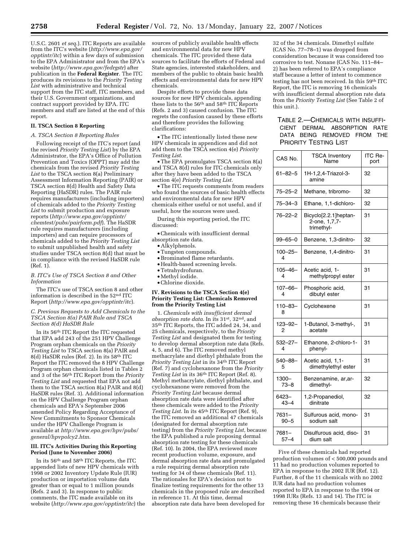U.S.C. 2601 *et seq*.). ITC Reports are available from the ITC's website (*http://www.epa.gov/ opptintr/itc*) within a few days of submission to the EPA Administrator and from the EPA's website (*http://www.epa.gov/fedrgstr*) after publication in the **Federal Register**. The ITC produces its revisions to the *Priority Testing List* with administrative and technical support from the ITC staff, ITC members, and their U.S. Government organizations, and contract support provided by EPA. ITC members and staff are listed at the end of this report.

#### **II. TSCA Section 8 Reporting**

#### *A. TSCA Section 8 Reporting Rules*

Following receipt of the ITC's report (and the revised *Priority Testing List*) by the EPA Administrator, the EPA's Office of Pollution Prevention and Toxics (OPPT) may add the chemicals from the revised *Priority Testing List* to the TSCA section 8(a) Preliminary Assessment Information Reporting (PAIR) or TSCA section 8(d) Health and Safety Data Reporting (HaSDR) rules. The PAIR rule requires manufacturers (including importers) of chemicals added to the *Priority Testing List* to submit production and exposure reports (*http://www.epa.gov/opptintr/ chemtest/pubs/pairform.pdf*). The HaSDR rule requires manufacturers (including importers) and can require processors of chemicals added to the *Priority Testing List*  to submit unpublished health and safety studies under TSCA section 8(d) that must be in compliance with the revised HaSDR rule (Ref. 1).

## *B. ITC's Use of TSCA Section 8 and Other Information*

The ITC's use of TSCA section 8 and other information is described in the 52nd ITC Report (*http://www.epa.gov/opptintr/itc*).

#### *C. Previous Requests to Add Chemicals to the TSCA Section 8(a) PAIR Rule and TSCA Section 8(d) HaSDR Rule*

In its 56th ITC Report the ITC requested that EPA add 243 of the 251 HPV Challenge Program orphan chemicals on the *Priority Testing List* to TSCA section 8(a) PAIR and 8(d) HaSDR rules (Ref. 2). In its 58th ITC Report the ITC removed the 8 HPV Challenge Program orphan chemicals listed in Tables 2 and 3 of the 56th ITC Report from the *Priority Testing List* and requested that EPA not add them to the TSCA section 8(a) PAIR and 8(d) HaSDR rules (Ref. 3). Additional information on the HPV Challenge Program orphan chemicals and EPA's September 2006 amended Policy Regarding Acceptance of New Commitments to Sponsor Chemicals under the HPV Challenge Program is available at *http://www.epa.gov/hpv/pubs/ general/hpvpolcy2.htm*.

#### **III. ITC's Activities During this Reporting Period (June to November 2006)**

In its 56th and 58th ITC Reports, the ITC appended lists of new HPV chemicals with 1998 or 2002 Inventory Update Rule (IUR) production or importation volume data greater than or equal to 1 million pounds (Refs. 2 and 3). In response to public comments, the ITC made available on its website (*http://www.epa.gov/opptintr/itc*) the sources of publicly available health effects and environmental data for new HPV chemicals. The ITC provided these data sources to facilitate the efforts of Federal and State agencies, interested stakeholders, and members of the public to obtain basic health effects and environmental data for new HPV chemicals.

Despite efforts to provide these data sources for new  $HP\tilde{V}$  chemicals, appending these lists to the 56th and 58th ITC Reports (Refs. 2 and 3) caused confusion. The ITC regrets the confusion caused by these efforts and therefore provides the following clarifications:

•The ITC intentionally listed these new HPV chemicals in appendices and did not add them to the TSCA section 4(e) *Priority Testing List*.

•The EPA promulgates TSCA section 8(a) and TSCA 8(d) rules for ITC chemicals only after they have been added to the TSCA section 4(e) *Priority Testing List*.

•The ITC requests comments from readers who found the sources of basic health effects and environmental data for new HPV chemicals either useful or not useful, and if useful, how the sources were used.

During this reporting period, the ITC discussed:

- •Chemicals with insufficient dermal absorption rate data.
	- Alkylphenols.
	- •Tungsten compounds.
	- •Brominated flame retardants.
	- Health-based screening levels.
	- •Tetrahydrofuran. • Methyl iodide.
	-
	- •Chlorine dioxide.

#### **IV. Revisions to the TSCA Section 4(e) Priority Testing List: Chemicals Removed from the Priority Testing List**

1. *Chemicals with insufficient dermal absorption rate data*. In its 31st, 32nd, and 35th ITC Reports, the ITC added 24, 34, and 25 chemicals, respectively, to the *Priority Testing List* and designated them for testing to develop dermal absorption rate data (Refs. 4, 5, and 6). The ITC removed methyl methacrylate and diethyl phthalate from the *Priority Testing List* in its 34th ITC Report (Ref. 7) and cyclohexanone from the *Priority Testing List* in its 36th ITC Report (Ref. 8). Methyl methacrylate, diethyl phthalate, and cyclohexanone were removed from the *Priority Testing List* because dermal absorption rate data were identified after these chemicals were added to the *Priority Testing List*. In its 45th ITC Report (Ref. 9), the ITC removed an additional 47 chemicals (designated for dermal absorption rate testing) from the *Priority Testing List*, because the EPA published a rule proposing dermal absorption rate testing for these chemicals (Ref. 10). In 2004, the EPA reviewed more recent production volume, exposure, and dermal absorption rate data and promulgated a rule requiring dermal absorption rate testing for 34 of these chemicals (Ref. 11). The rationales for EPA's decision not to finalize testing requirements for the other 13 chemicals in the proposed rule are described in reference 11. At this time, dermal absorption rate data have been developed for

32 of the 34 chemicals. Dimethyl sulfate (CAS No. 77–78–1) was dropped from consideration because it was considered too corrosive to test. Nonane (CAS No. 111–84– 2) has been referred to EPA's compliance staff because a letter of intent to commence testing has not been received. In this 59th ITC Report, the ITC is removing 16 chemicals with insufficient dermal absorption rate data from the *Priority Testing List* (See Table 2 of this unit.).

# TABLE 2.—CHEMICALS WITH INSUFFI-CIENT DERMAL ABSORPTION RATE DATA BEING REMOVED FROM THE PRIORITY TESTING LIST

| CAS No.           | <b>TSCA Inventory</b><br>Name                        | ITC Re-<br>port |
|-------------------|------------------------------------------------------|-----------------|
| $61 - 82 - 5$     | 1H-1,2,4-Triazol-3-<br>amine                         | 32              |
| $75 - 25 - 2$     | Methane, tribromo-                                   | 32              |
| $75 - 34 - 3$     | Ethane, 1,1-dichloro-                                | 32              |
| $76 - 22 - 2$     | Bicyclo[2.2.1]heptan-<br>2-one, 1,7,7-<br>trimethyl- | 31              |
| $99 - 65 - 0$     | Benzene, 1,3-dinitro-                                | 32              |
| 100-25-<br>4      | Benzene, 1,4-dinitro-                                | 31              |
| $105 - 46 -$<br>4 | Acetic acid, 1-<br>methylpropyl ester                | 31              |
| $107 - 66 -$<br>4 | Phosphoric acid,<br>dibutyl ester                    | 31              |
| $110 - 83 -$<br>8 | Cyclohexene                                          | 31              |
| 123–92–<br>2      | 1-Butanol, 3-methyl-,<br>acetate                     | 31              |
| $532 - 27 -$<br>4 | Ethanone, 2-chloro-1-<br>phenyl-                     | 31              |
| $540 - 88 -$<br>5 | Acetic acid, 1,1-<br>dimethylethyl ester             | 31              |
| 1300-<br>$73 - 8$ | Benzenamine, ar, ar-<br>dimethyl-                    | 32              |
| 6423-<br>$43 - 4$ | 1,2-Propanediol,<br>dinitrate                        | 32              |
| 7631-<br>$90 - 5$ | Sulfurous acid, mono-<br>sodium salt                 | 31              |
| 7681-<br>$57 - 4$ | Disulfurous acid, diso-<br>dium salt                 | 31              |

Five of these chemicals had reported production volumes of < 500,000 pounds and 11 had no production volumes reported to EPA in response to the 2002 IUR (Ref. 12). Further, 8 of the 11 chemicals with no 2002 IUR data had no production volumes reported to EPA in response to the 1994 or 1998 IURs (Refs. 13 and 14). The ITC is removing these 16 chemicals because their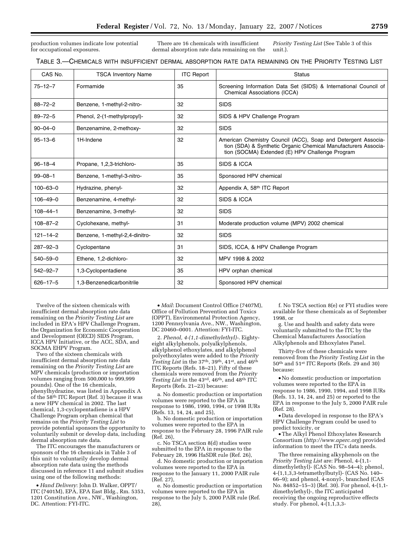production volumes indicate low potential for occupational exposures.

There are 16 chemicals with insufficient dermal absorption rate data remaining on the unit.).

*Priority Testing List* (See Table 3 of this

| CAS No.        | <b>TSCA Inventory Name</b>     | <b>ITC Report</b> | <b>Status</b>                                                                                                                                                                      |
|----------------|--------------------------------|-------------------|------------------------------------------------------------------------------------------------------------------------------------------------------------------------------------|
| $75 - 12 - 7$  | Formamide                      | 35                | Screening Information Data Set (SIDS) & International Council of<br><b>Chemical Associations (ICCA)</b>                                                                            |
| $88 - 72 - 2$  | Benzene, 1-methyl-2-nitro-     | 32                | <b>SIDS</b>                                                                                                                                                                        |
| $89 - 72 - 5$  | Phenol, 2-(1-methylpropyl)-    | 32                | SIDS & HPV Challenge Program                                                                                                                                                       |
| $90 - 04 - 0$  | Benzenamine, 2-methoxy-        | 32                | <b>SIDS</b>                                                                                                                                                                        |
| $95 - 13 - 6$  | 1H-Indene                      | 32                | American Chemistry Council (ACC), Soap and Detergent Associa-<br>tion (SDA) & Synthetic Organic Chemical Manufacturers Associa-<br>tion (SOCMA) Extended (E) HPV Challenge Program |
| $96 - 18 - 4$  | Propane, 1,2,3-trichloro-      | 35                | SIDS & ICCA                                                                                                                                                                        |
| $99 - 08 - 1$  | Benzene, 1-methyl-3-nitro-     | 35                | Sponsored HPV chemical                                                                                                                                                             |
| $100 - 63 - 0$ | Hydrazine, phenyl-             | 32                | Appendix A, 58th ITC Report                                                                                                                                                        |
| $106 - 49 - 0$ | Benzenamine, 4-methyl-         | 32                | SIDS & ICCA                                                                                                                                                                        |
| $108 - 44 - 1$ | Benzenamine, 3-methyl-         | 32                | <b>SIDS</b>                                                                                                                                                                        |
| $108 - 87 - 2$ | Cyclohexane, methyl-           | 31                | Moderate production volume (MPV) 2002 chemical                                                                                                                                     |
| $121 - 14 - 2$ | Benzene, 1-methyl-2,4-dinitro- | 32                | <b>SIDS</b>                                                                                                                                                                        |
| $287 - 92 - 3$ | Cyclopentane                   | 31                | SIDS, ICCA, & HPV Challenge Program                                                                                                                                                |
| $540 - 59 - 0$ | Ethene, 1,2-dichloro-          | 32                | MPV 1998 & 2002                                                                                                                                                                    |
| $542 - 92 - 7$ | 1,3-Cyclopentadiene            | 35                | HPV orphan chemical                                                                                                                                                                |
| $626 - 17 - 5$ | 1,3-Benzenedicarbonitrile      | 32                | Sponsored HPV chemical                                                                                                                                                             |

Twelve of the sixteen chemicals with insufficient dermal absorption rate data remaining on the *Priority Testing List* are included in EPA's HPV Challenge Program, the Organization for Economic Cooperation and Development (OECD) SIDS Program, ICCA HPV Initiative, or the ACC, SDA, and SOCMA EHPV Program.

Two of the sixteen chemicals with insufficient dermal absorption rate data remaining on the *Priority Testing List* are MPV chemicals (production or importation volumes ranging from 500,000 to 999,999 pounds). One of the 16 chemicals, phenylhydrazine, was listed in Appendix A of the 58th ITC Report (Ref. 3) because it was a new HPV chemical in 2002. The last chemical, 1,3-cyclopentadiene is a HPV Challenge Program orphan chemical that remains on the *Priority Testing List* to provide potential sponsors the opportunity to voluntarily submit or develop data, including dermal absorption rate data.

The ITC encourages the manufacturers or sponsors of the 16 chemicals in Table 3 of this unit to voluntarily develop dermal absorption rate data using the methods discussed in reference 11 and submit studies using one of the following methods:

• *Hand Delivery*: John D. Walker, OPPT/ ITC (7401M), EPA, EPA East Bldg., Rm. 5353, 1201 Constitution Ave., NW., Washington, DC. Attention: FYI-ITC.

• *Mail*: Document Control Office (7407M), Office of Pollution Prevention and Toxics (OPPT), Environmental Protection Agency, 1200 Pennsylvania Ave., NW., Washington, DC 20460–0001. Attention: FYI-ITC.

2. *Phenol, 4-(1,1-dimethylethyl)-*. Eightyeight alkylphenols, polyalkylphenols, alkylphenol ethoxylates, and alkylphenol polyethoxylates were added to the *Priority Testing List* in the 37th, 39th, 41st, and 46th ITC Reports (Refs. 18–21). Fifty of these chemicals were removed from the *Priority Testing List* in the 43rd, 46th, and 48th ITC Reports (Refs. 21–23) because:

a. No domestic production or importation volumes were reported to the EPA in response to 1986, 1990, 1994, or 1998 IURs (Refs. 13, 14, 24, and 25),

b. No domestic production or importation volumes were reported to the EPA in response to the February 28, 1996 PAIR rule (Ref. 26),

c. No TSCA section 8(d) studies were submitted to the EPA in response to the February 28, 1996 HaSDR rule (Ref. 26),

d. No domestic production or importation volumes were reported to the EPA in response to the January 11, 2000 PAIR rule (Ref. 27),

e. No domestic production or importation volumes were reported to the EPA in response to the July 5, 2000 PAIR rule (Ref. 28),

f. No TSCA section 8(e) or FYI studies were available for these chemicals as of September 1998, or

g. Use and health and safety data were voluntarily submitted to the ITC by the Chemical Manufacturers Association Alkylphenols and Ethoxylates Panel.

Thirty-five of these chemicals were removed from the *Priority Testing List* in the 50th and 51st ITC Reports (Refs. 29 and 30) because:

• No domestic production or importation volumes were reported to the EPA in response to 1986, 1990, 1994, and 1998 IURs (Refs. 13, 14, 24, and 25) or reported to the EPA in response to the July 5, 2000 PAIR rule (Ref. 28).

• Data developed in response to the EPA's HPV Challenge Program could be used to predict toxicity, or

•The Alkyl Phenol Ethoxylates Research Consortium (*http://www.aperc.org*) provided information to meet the ITC's data needs.

The three remaining alkyphenols on the *Priority Testing List* are: Phenol, 4-(1,1 dimethylethyl)- (CAS No. 98–54–4); phenol, 4-(1,1,3,3-tetramethylbutyl)- (CAS No. 140– 66–9); and phenol, 4-nonyl-, branched (CAS No. 84852–15–3) (Ref. 30). For phenol, 4-(1,1 dimethylethyl)-, the ITC anticipated receiving the ongoing reproductive effects study. For phenol,  $4-(1,1,3,3-$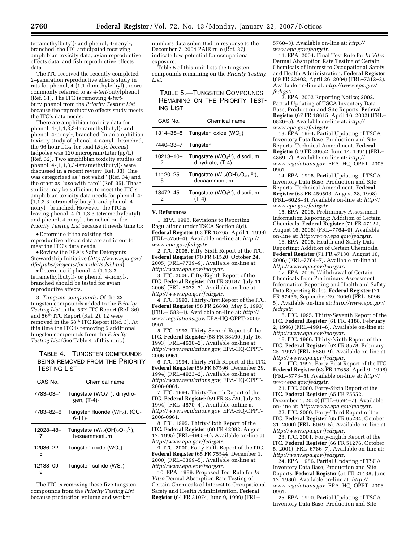tetramethylbutyl)- and phenol, 4-nonyl-, branched, the ITC anticipated receiving amphibian toxicity data, avian reproductive effects data, and fish reproductive effects data.

The ITC received the recently completed 2–generation reproductive effects study in rats for phenol, 4-(1,1-dimethylethyl)-, more commonly referred to as 4-*tert*-butylphenol (Ref. 31). The ITC is removing 4-*tert*butylphenol from the *Priority Testing List*  because the reproductive effects study meets the ITC's data needs.

There are amphibian toxicity data for phenol, 4-(1,1,3,3-tetramethylbutyl)- and phenol, 4-nonyl-, branched. In an amphibian toxicity study of phenol, 4-nonyl-, branched, the 96 hour LC50 for toad (*Bufo boreas*) tadpoles was 120 microgram/Liter (µg/L) (Ref. 32). Two amphibian toxicity studies of phenol, 4-(1,1,3,3-tetramethylbutyl)- were discussed in a recent review (Ref. 33). One was categorized as ''not valid'' (Ref. 34) and the other as ''use with care'' (Ref. 35). These studies may be sufficient to meet the ITC's amphibian toxicity data needs for phenol, 4- (1,1,3,3-tetramethylbutyl)- and phenol, 4 nonyl-, branched. However, the ITC is leaving phenol, 4-(1,1,3,3-tetramethylbutyl) and phenol, 4-nonyl-, branched on the *Priority Testing List* because it needs time to:

• Determine if the existing fish reproductive effects data are sufficient to meet the ITC's data needs.

•Review the EPA's Safer Detergents Stewardship Initiative (*http://www.epa.gov/ dfe/pubs/projects/formulat/sdsi.htm*).

• Determine if phenol, 4-(1,1,3,3 tetramethylbutyl)- or phenol, 4-nonyl-, branched should be tested for avian reproductive effects.

3. *Tungsten compounds*. Of the 22 tungsten compounds added to the *Priority Testing List* in the 53rd ITC Report (Ref. 36) and 56th ITC Report (Ref. 2), 12 were removed in the 58th ITC Report (Ref. 3). At this time the ITC is removing 5 additional tungsten compounds from the *Priority Testing List* (See Table 4 of this unit.).

# TABLE 4.—TUNGSTEN COMPOUNDS BEING REMOVED FROM THE PRIORITY TESTING LIST

| CAS No.        | Chemical name                                            |
|----------------|----------------------------------------------------------|
| 7783-03-1      | Tungstate ( $WO42$ ), dihydro-<br>gen, (T-4)-            |
| 7783-82-6      | Tungsten fluoride (WF $_6$ ), (OC-<br>$6 - 11$           |
| 12028-48-      | Tungstate $(W_{12}(OH)_{2}O_{38}^{6})$ ,<br>hexaammonium |
| 12036-22-<br>5 | Tungsten oxide $(WO2)$                                   |
| 12138-09-<br>9 | Tungsten sulfide ( $WS2$ )                               |

The ITC is removing these five tungsten compounds from the *Priority Testing List*  because production volume and worker

numbers data submitted in response to the December 7, 2004 PAIR rule (Ref. 37) indicate low potential for occupational exposure.

Table 5 of this unit lists the tungsten compounds remaining on the *Priority Testing List*.

TABLE 5.—TUNGSTEN COMPOUNDS REMAINING ON THE PRIORITY TEST-ING LIST

| CAS No.        | Chemical name                                                              |
|----------------|----------------------------------------------------------------------------|
| 1314-35-8      | Tungsten oxide (WO <sub>3</sub> )                                          |
| 7440-33-7      | Tungsten                                                                   |
| 10213-10-      | Tungstate (WO <sub>4</sub> <sup>2-</sup> ), disodium,<br>dihydrate, (T-4)- |
| 11120-25-<br>5 | Tungstate $(W_{12}(OH)_2O_{40}^{10})$ ,<br>decaammonium                    |
| 13472-45-      | Tungstate (WO <sub>4</sub> <sup>2-</sup> ), disodium,                      |

#### **V. References**

1. EPA. 1998. Revisions to Reporting Regulations under TSCA Section 8(d). **Federal Register** (63 FR 15765, April 1, 1998) (FRL–5750–4). Available on-line at: *http:// www.epa.gov/fedrgstr*.

2. ITC. 2005. Fifty-Sixth Report of the ITC. **Federal Register** (70 FR 61520, October 24, 2005) (FRL–7739–9). Available on-line at: *http://www.epa.gov/fedrgstr*.

3. ITC. 2006. Fifty-Eighth Report of the ITC. **Federal Register** (70 FR 39187, July 11, 2006) (FRL–8073–7). Available on-line at: *http://www.epa.gov/fedrgstr*.

4. ITC. 1993. Thirty-First Report of the ITC. **Federal Register** (58 FR 26898, May 5, 1993) (FRL–4583–4). Available on-line at: *http:// www.regulations.gov*, EPA-HQ-OPPT-2006- 0961.

5. ITC. 1993. Thirty-Second Report of the ITC. **Federal Register** (58 FR 38490, July 16, 1993) (FRL–4630–2). Available on-line at: *http://www.regulations.gov*, EPA-HQ-OPPT-2006-0961.

6. ITC. 1994. Thirty-Fifth Report of the ITC. **Federal Register** (59 FR 67596, December 29, 1994) (FRL–4923–2). Available on-line at: *http://www.regulations.gov*, EPA-HQ-OPPT-2006-0961.

7. ITC. 1994. Thirty-Fourth Report of the ITC. **Federal Register** (59 FR 35720, July 13, 1994) (FRL–4870–4). Available online at *http://www.regulations.gov*, EPA-HQ-OPPT-2006-0961.

8. ITC. 1995. Thirty-Sixth Report of the ITC. **Federal Register** (60 FR 42982, August 17, 1995) (FRL–4965–6). Available on-line at: *http://www.epa.gov/fedrgstr*.

9. ITC. 2000. Forty-Fifth Report of the ITC. **Federal Register** (65 FR 75544, December 1, 2000) (FRL–6399–5). Available on-line at: *http://www.epa.gov/fedrgstr*.

10. EPA. 1999. Proposed Test Rule for *In Vitro* Dermal Absorption Rate Testing of Certain Chemicals of Interest to Occupational Safety and Health Administration. **Federal Register** (64 FR 31074, June 9, 1999) (FRL–

5760–3). Available on-line at: *http:// www.epa.gov/fedrgstr*.

11. EPA. 2004. Final Test Rule for *In Vitro*  Dermal Absorption Rate Testing of Certain Chemicals of Interest to Occupational Safety and Health Administration. **Federal Register**  (69 FR 22402, April 26, 2004) (FRL–7312–2). Available on-line at: *http://www.epa.gov/ fedrgstr*.

12. EPA. 2002 Reporting Notice; 2002. Partial Updating of TSCA Inventory Data Base; Production and Site Reports; **Federal Register** (67 FR 18615, April 16, 2002) (FRL– 6826–5). Available on-line at: *http:// www.epa.gov/fedrgstr*.

13. EPA. 1994. Partial Updating of TSCA Inventory Data Base; Production and Site Reports; Technical Amendment. **Federal Register** (59 FR 30652, June 14, 1994) (FRL– 4869–7). Available on-line at: *http:// www.regulations.gov*, EPA–HQ–OPPT–2006– 0961.

14. EPA. 1998. Partial Updating of TSCA Inventory Data Base; Production and Site Reports; Technical Amendment. **Federal Register** (63 FR 459503, August 28, 1998) (FRL–6028–3). Available on-line at: *http:// www.epa.gov/fedrgstr*.

15. EPA. 2006. Preliminary Assessment Information Reporting; Addition of Certain Chemicals. **Federal Register** (71 FR 47122, August 16, 2006) (FRL–7764–9). Available on-line at: *http://www.epa.gov/fedrgstr*.

16. EPA. 2006. Health and Safety Data Reporting; Addition of Certain Chemicals. **Federal Register** (71 FR 47130, August 16, 2006) (FRL–7764–7). Available on-line at: *http://www.epa.gov/fedrgstr*.

17. EPA. 2006. Withdrawal of Certain Chemicals from Preliminary Assessment Information Reporting and Health and Safety Data Reporting Rules. **Federal Register** (71 FR 57439, September 29, 2006) (FRL–8096– 5). Available on-line at: *http://www.epa.gov/ fedrgstr*.

18. ITC. 1995. Thirty-Seventh Report of the ITC. **Federal Register** (61 FR. 4188, February 2, 1996) (FRL–4991–6). Available on-line at: *http://www.epa.gov/fedrgstr*.

19. ITC. 1996. Thirty-Ninth Report of the ITC. **Federal Register** (62 FR 8578, February 25, 1997) (FRL–5580–9). Available on-line at: *http://www.epa.gov/fedrgstr*.

20. ITC. 1997. Forty-First Report of the ITC. **Federal Register** (63 FR 17658, April 9, 1998) (FRL–5773–5). Available on-line at: *http:// www.epa.gov/fedrgstr*.

21. ITC. 2000. Forty-Sixth Report of the ITC. **Federal Register** (65 FR 75552, December 1, 2000) (FRL–6594–7). Available on-line at: *http://www.epa.gov/fedrgstr*.

22. ITC. 2000. Forty-Third Report of the ITC. **Federal Register** (65 FR 65234, October 31, 2000) (FRL–6049–5). Available on-line at: *http://www.epa.gov/fedrgstr*.

23. ITC. 2001. Forty-Eighth Report of the ITC. **Federal Register** (66 FR 51276, October 5, 2001) (FRL–6786–7). Available on-line at: *http://www.epa.gov/fedrgstr*.

24. EPA. 1986. Partial Updating of TSCA Inventory Data Base; Production and Site Reports. **Federal Register** (51 FR 21438, June 12, 1986). Available on-line at: *http:// www.regulations.gov*, EPA–HQ–OPPT–2006– 0961.

25. EPA. 1990. Partial Updating of TSCA Inventory Data Base; Production and Site